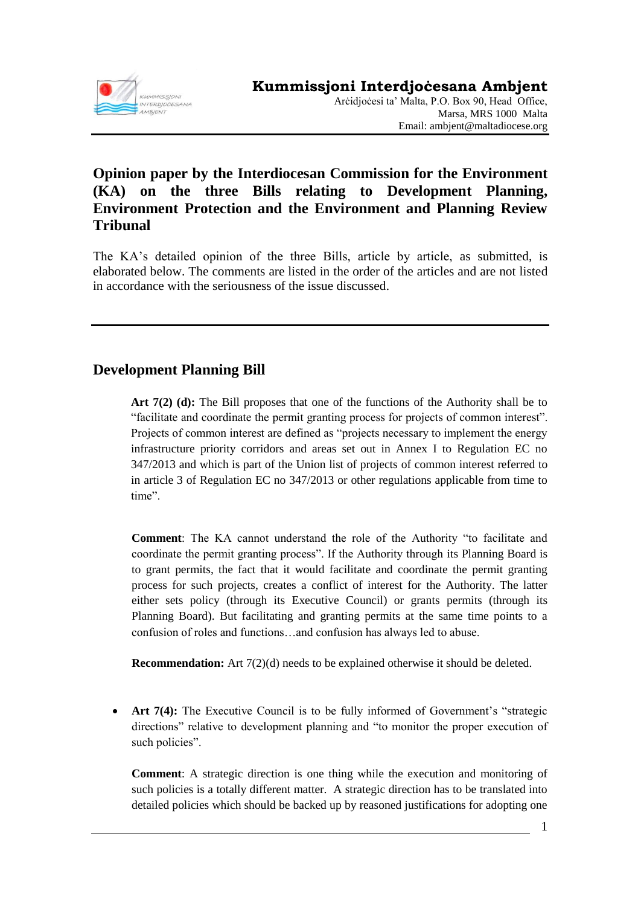

## **Opinion paper by the Interdiocesan Commission for the Environment (KA) on the three Bills relating to Development Planning, Environment Protection and the Environment and Planning Review Tribunal**

The KA's detailed opinion of the three Bills, article by article, as submitted, is elaborated below. The comments are listed in the order of the articles and are not listed in accordance with the seriousness of the issue discussed.

## **Development Planning Bill**

**Art 7(2) (d):** The Bill proposes that one of the functions of the Authority shall be to "facilitate and coordinate the permit granting process for projects of common interest". Projects of common interest are defined as "projects necessary to implement the energy infrastructure priority corridors and areas set out in Annex I to Regulation EC no 347/2013 and which is part of the Union list of projects of common interest referred to in article 3 of Regulation EC no 347/2013 or other regulations applicable from time to time".

**Comment**: The KA cannot understand the role of the Authority "to facilitate and coordinate the permit granting process". If the Authority through its Planning Board is to grant permits, the fact that it would facilitate and coordinate the permit granting process for such projects, creates a conflict of interest for the Authority. The latter either sets policy (through its Executive Council) or grants permits (through its Planning Board). But facilitating and granting permits at the same time points to a confusion of roles and functions…and confusion has always led to abuse.

**Recommendation:** Art 7(2)(d) needs to be explained otherwise it should be deleted.

• Art 7(4): The Executive Council is to be fully informed of Government's "strategic directions" relative to development planning and "to monitor the proper execution of such policies".

**Comment**: A strategic direction is one thing while the execution and monitoring of such policies is a totally different matter. A strategic direction has to be translated into detailed policies which should be backed up by reasoned justifications for adopting one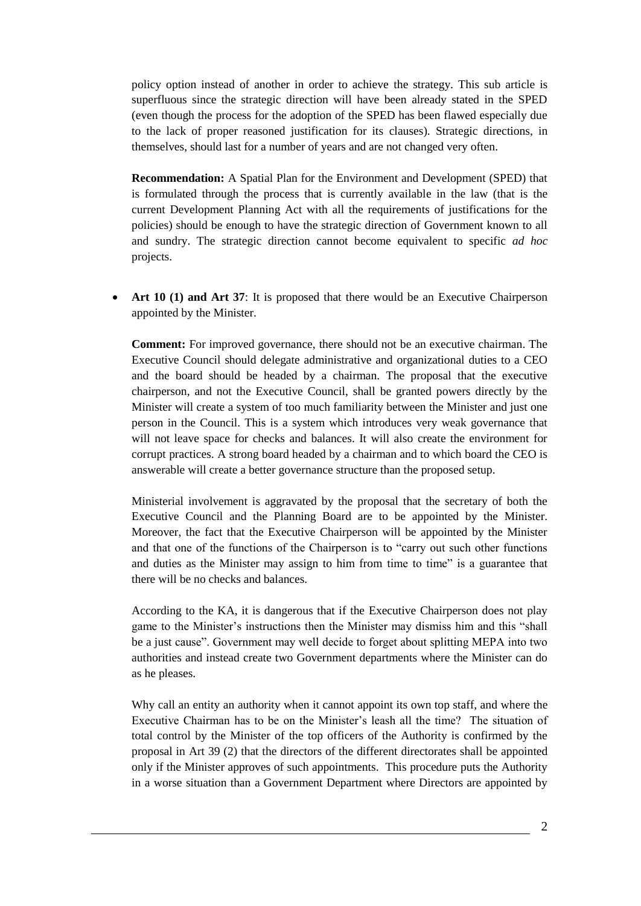policy option instead of another in order to achieve the strategy. This sub article is superfluous since the strategic direction will have been already stated in the SPED (even though the process for the adoption of the SPED has been flawed especially due to the lack of proper reasoned justification for its clauses). Strategic directions, in themselves, should last for a number of years and are not changed very often.

**Recommendation:** A Spatial Plan for the Environment and Development (SPED) that is formulated through the process that is currently available in the law (that is the current Development Planning Act with all the requirements of justifications for the policies) should be enough to have the strategic direction of Government known to all and sundry. The strategic direction cannot become equivalent to specific *ad hoc* projects.

 **Art 10 (1) and Art 37**: It is proposed that there would be an Executive Chairperson appointed by the Minister.

**Comment:** For improved governance, there should not be an executive chairman. The Executive Council should delegate administrative and organizational duties to a CEO and the board should be headed by a chairman. The proposal that the executive chairperson, and not the Executive Council, shall be granted powers directly by the Minister will create a system of too much familiarity between the Minister and just one person in the Council. This is a system which introduces very weak governance that will not leave space for checks and balances. It will also create the environment for corrupt practices. A strong board headed by a chairman and to which board the CEO is answerable will create a better governance structure than the proposed setup.

Ministerial involvement is aggravated by the proposal that the secretary of both the Executive Council and the Planning Board are to be appointed by the Minister. Moreover, the fact that the Executive Chairperson will be appointed by the Minister and that one of the functions of the Chairperson is to "carry out such other functions and duties as the Minister may assign to him from time to time" is a guarantee that there will be no checks and balances.

According to the KA, it is dangerous that if the Executive Chairperson does not play game to the Minister's instructions then the Minister may dismiss him and this "shall be a just cause". Government may well decide to forget about splitting MEPA into two authorities and instead create two Government departments where the Minister can do as he pleases.

Why call an entity an authority when it cannot appoint its own top staff, and where the Executive Chairman has to be on the Minister's leash all the time? The situation of total control by the Minister of the top officers of the Authority is confirmed by the proposal in Art 39 (2) that the directors of the different directorates shall be appointed only if the Minister approves of such appointments. This procedure puts the Authority in a worse situation than a Government Department where Directors are appointed by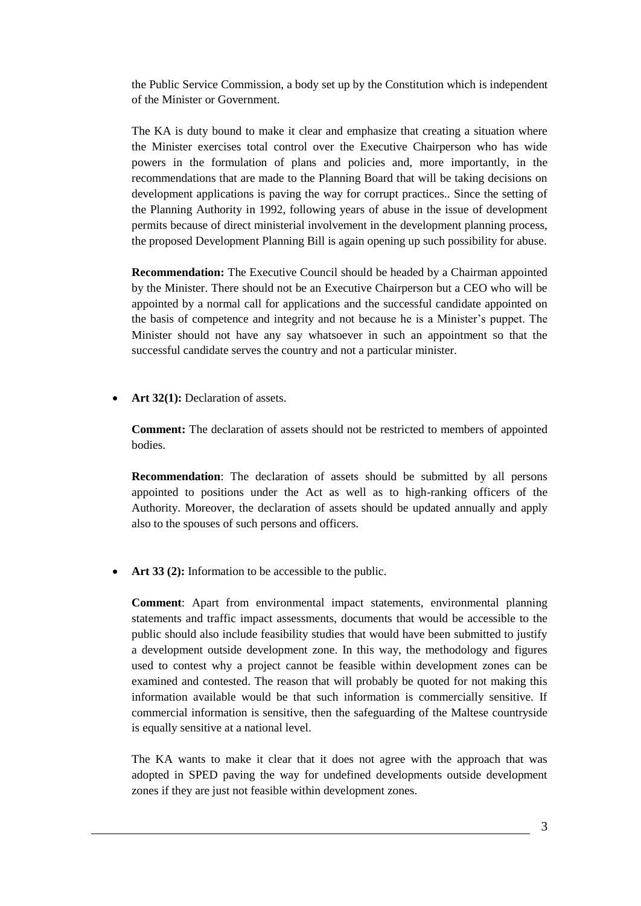the Public Service Commission, a body set up by the Constitution which is independent of the Minister or Government.

The KA is duty bound to make it clear and emphasize that creating a situation where the Minister exercises total control over the Executive Chairperson who has wide powers in the formulation of plans and policies and, more importantly, in the recommendations that are made to the Planning Board that will be taking decisions on development applications is paving the way for corrupt practices.. Since the setting of the Planning Authority in 1992, following years of abuse in the issue of development permits because of direct ministerial involvement in the development planning process, the proposed Development Planning Bill is again opening up such possibility for abuse.

**Recommendation:** The Executive Council should be headed by a Chairman appointed by the Minister. There should not be an Executive Chairperson but a CEO who will be appointed by a normal call for applications and the successful candidate appointed on the basis of competence and integrity and not because he is a Minister's puppet. The Minister should not have any say whatsoever in such an appointment so that the successful candidate serves the country and not a particular minister.

Art 32(1): Declaration of assets.

**Comment:** The declaration of assets should not be restricted to members of appointed bodies.

**Recommendation**: The declaration of assets should be submitted by all persons appointed to positions under the Act as well as to high-ranking officers of the Authority. Moreover, the declaration of assets should be updated annually and apply also to the spouses of such persons and officers.

• **Art 33 (2):** Information to be accessible to the public.

**Comment**: Apart from environmental impact statements, environmental planning statements and traffic impact assessments, documents that would be accessible to the public should also include feasibility studies that would have been submitted to justify a development outside development zone. In this way, the methodology and figures used to contest why a project cannot be feasible within development zones can be examined and contested. The reason that will probably be quoted for not making this information available would be that such information is commercially sensitive. If commercial information is sensitive, then the safeguarding of the Maltese countryside is equally sensitive at a national level.

The KA wants to make it clear that it does not agree with the approach that was adopted in SPED paving the way for undefined developments outside development zones if they are just not feasible within development zones.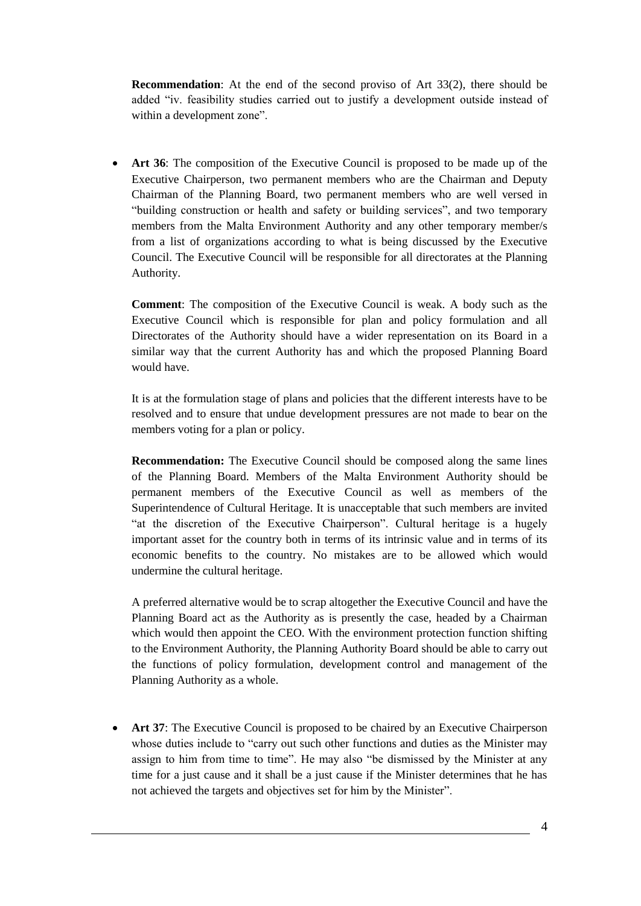**Recommendation**: At the end of the second proviso of Art 33(2), there should be added "iv. feasibility studies carried out to justify a development outside instead of within a development zone".

 **Art 36**: The composition of the Executive Council is proposed to be made up of the Executive Chairperson, two permanent members who are the Chairman and Deputy Chairman of the Planning Board, two permanent members who are well versed in "building construction or health and safety or building services", and two temporary members from the Malta Environment Authority and any other temporary member/s from a list of organizations according to what is being discussed by the Executive Council. The Executive Council will be responsible for all directorates at the Planning Authority.

**Comment**: The composition of the Executive Council is weak. A body such as the Executive Council which is responsible for plan and policy formulation and all Directorates of the Authority should have a wider representation on its Board in a similar way that the current Authority has and which the proposed Planning Board would have.

It is at the formulation stage of plans and policies that the different interests have to be resolved and to ensure that undue development pressures are not made to bear on the members voting for a plan or policy.

**Recommendation:** The Executive Council should be composed along the same lines of the Planning Board. Members of the Malta Environment Authority should be permanent members of the Executive Council as well as members of the Superintendence of Cultural Heritage. It is unacceptable that such members are invited "at the discretion of the Executive Chairperson". Cultural heritage is a hugely important asset for the country both in terms of its intrinsic value and in terms of its economic benefits to the country. No mistakes are to be allowed which would undermine the cultural heritage.

A preferred alternative would be to scrap altogether the Executive Council and have the Planning Board act as the Authority as is presently the case, headed by a Chairman which would then appoint the CEO. With the environment protection function shifting to the Environment Authority, the Planning Authority Board should be able to carry out the functions of policy formulation, development control and management of the Planning Authority as a whole.

• **Art 37:** The Executive Council is proposed to be chaired by an Executive Chairperson whose duties include to "carry out such other functions and duties as the Minister may assign to him from time to time". He may also "be dismissed by the Minister at any time for a just cause and it shall be a just cause if the Minister determines that he has not achieved the targets and objectives set for him by the Minister".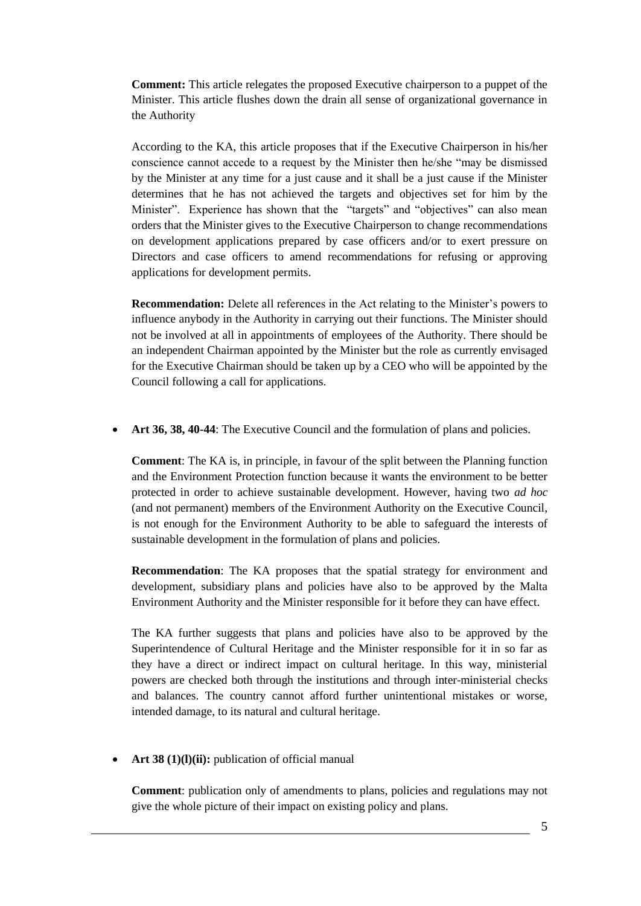**Comment:** This article relegates the proposed Executive chairperson to a puppet of the Minister. This article flushes down the drain all sense of organizational governance in the Authority

According to the KA, this article proposes that if the Executive Chairperson in his/her conscience cannot accede to a request by the Minister then he/she "may be dismissed by the Minister at any time for a just cause and it shall be a just cause if the Minister determines that he has not achieved the targets and objectives set for him by the Minister". Experience has shown that the "targets" and "objectives" can also mean orders that the Minister gives to the Executive Chairperson to change recommendations on development applications prepared by case officers and/or to exert pressure on Directors and case officers to amend recommendations for refusing or approving applications for development permits.

**Recommendation:** Delete all references in the Act relating to the Minister's powers to influence anybody in the Authority in carrying out their functions. The Minister should not be involved at all in appointments of employees of the Authority. There should be an independent Chairman appointed by the Minister but the role as currently envisaged for the Executive Chairman should be taken up by a CEO who will be appointed by the Council following a call for applications.

Art 36, 38, 40-44: The Executive Council and the formulation of plans and policies.

**Comment**: The KA is, in principle, in favour of the split between the Planning function and the Environment Protection function because it wants the environment to be better protected in order to achieve sustainable development. However, having two *ad hoc* (and not permanent) members of the Environment Authority on the Executive Council, is not enough for the Environment Authority to be able to safeguard the interests of sustainable development in the formulation of plans and policies.

**Recommendation**: The KA proposes that the spatial strategy for environment and development, subsidiary plans and policies have also to be approved by the Malta Environment Authority and the Minister responsible for it before they can have effect.

The KA further suggests that plans and policies have also to be approved by the Superintendence of Cultural Heritage and the Minister responsible for it in so far as they have a direct or indirect impact on cultural heritage. In this way, ministerial powers are checked both through the institutions and through inter-ministerial checks and balances. The country cannot afford further unintentional mistakes or worse, intended damage, to its natural and cultural heritage.

#### Art 38 (1)(l)(ii): publication of official manual

**Comment**: publication only of amendments to plans, policies and regulations may not give the whole picture of their impact on existing policy and plans.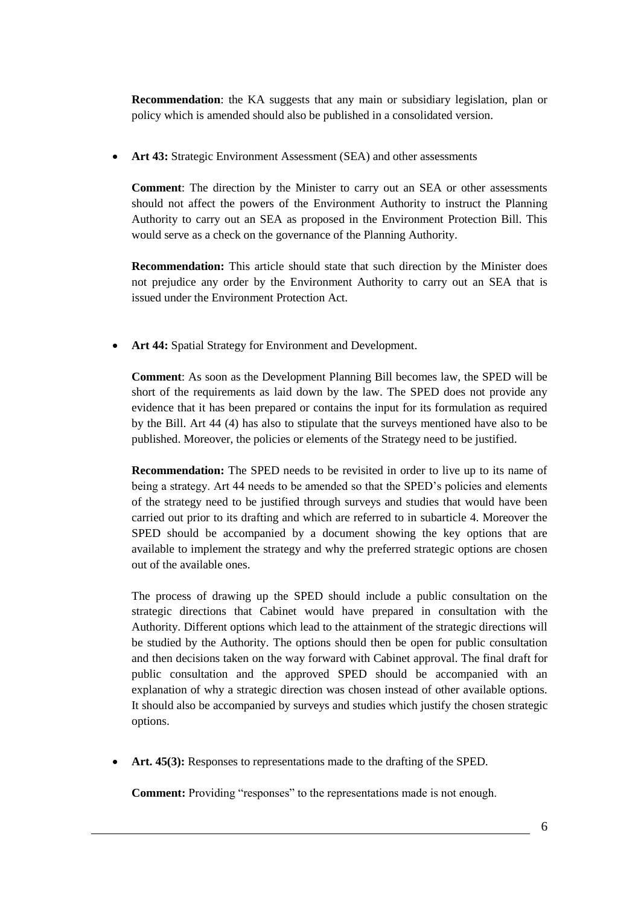**Recommendation**: the KA suggests that any main or subsidiary legislation, plan or policy which is amended should also be published in a consolidated version.

Art 43: Strategic Environment Assessment (SEA) and other assessments

**Comment**: The direction by the Minister to carry out an SEA or other assessments should not affect the powers of the Environment Authority to instruct the Planning Authority to carry out an SEA as proposed in the Environment Protection Bill. This would serve as a check on the governance of the Planning Authority.

**Recommendation:** This article should state that such direction by the Minister does not prejudice any order by the Environment Authority to carry out an SEA that is issued under the Environment Protection Act.

**Art 44:** Spatial Strategy for Environment and Development.

**Comment**: As soon as the Development Planning Bill becomes law, the SPED will be short of the requirements as laid down by the law. The SPED does not provide any evidence that it has been prepared or contains the input for its formulation as required by the Bill. Art 44 (4) has also to stipulate that the surveys mentioned have also to be published. Moreover, the policies or elements of the Strategy need to be justified.

**Recommendation:** The SPED needs to be revisited in order to live up to its name of being a strategy. Art 44 needs to be amended so that the SPED's policies and elements of the strategy need to be justified through surveys and studies that would have been carried out prior to its drafting and which are referred to in subarticle 4. Moreover the SPED should be accompanied by a document showing the key options that are available to implement the strategy and why the preferred strategic options are chosen out of the available ones.

The process of drawing up the SPED should include a public consultation on the strategic directions that Cabinet would have prepared in consultation with the Authority. Different options which lead to the attainment of the strategic directions will be studied by the Authority. The options should then be open for public consultation and then decisions taken on the way forward with Cabinet approval. The final draft for public consultation and the approved SPED should be accompanied with an explanation of why a strategic direction was chosen instead of other available options. It should also be accompanied by surveys and studies which justify the chosen strategic options.

Art. 45(3): Responses to representations made to the drafting of the SPED.

**Comment:** Providing "responses" to the representations made is not enough.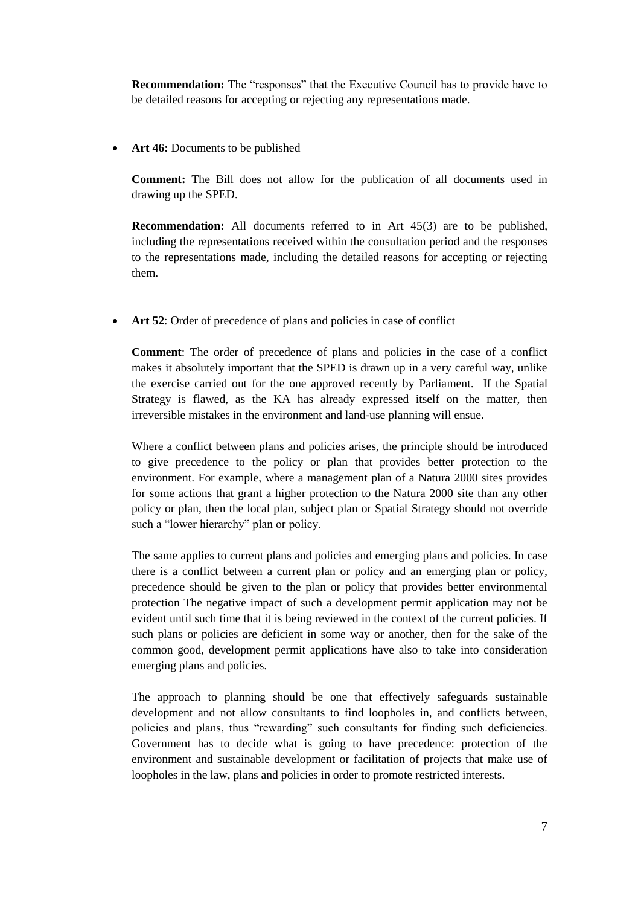**Recommendation:** The "responses" that the Executive Council has to provide have to be detailed reasons for accepting or rejecting any representations made.

**Art 46:** Documents to be published

**Comment:** The Bill does not allow for the publication of all documents used in drawing up the SPED.

**Recommendation:** All documents referred to in Art 45(3) are to be published, including the representations received within the consultation period and the responses to the representations made, including the detailed reasons for accepting or rejecting them.

**Art 52**: Order of precedence of plans and policies in case of conflict

**Comment**: The order of precedence of plans and policies in the case of a conflict makes it absolutely important that the SPED is drawn up in a very careful way, unlike the exercise carried out for the one approved recently by Parliament. If the Spatial Strategy is flawed, as the KA has already expressed itself on the matter, then irreversible mistakes in the environment and land-use planning will ensue.

Where a conflict between plans and policies arises, the principle should be introduced to give precedence to the policy or plan that provides better protection to the environment. For example, where a management plan of a Natura 2000 sites provides for some actions that grant a higher protection to the Natura 2000 site than any other policy or plan, then the local plan, subject plan or Spatial Strategy should not override such a "lower hierarchy" plan or policy.

The same applies to current plans and policies and emerging plans and policies. In case there is a conflict between a current plan or policy and an emerging plan or policy, precedence should be given to the plan or policy that provides better environmental protection The negative impact of such a development permit application may not be evident until such time that it is being reviewed in the context of the current policies. If such plans or policies are deficient in some way or another, then for the sake of the common good, development permit applications have also to take into consideration emerging plans and policies.

The approach to planning should be one that effectively safeguards sustainable development and not allow consultants to find loopholes in, and conflicts between, policies and plans, thus "rewarding" such consultants for finding such deficiencies. Government has to decide what is going to have precedence: protection of the environment and sustainable development or facilitation of projects that make use of loopholes in the law, plans and policies in order to promote restricted interests.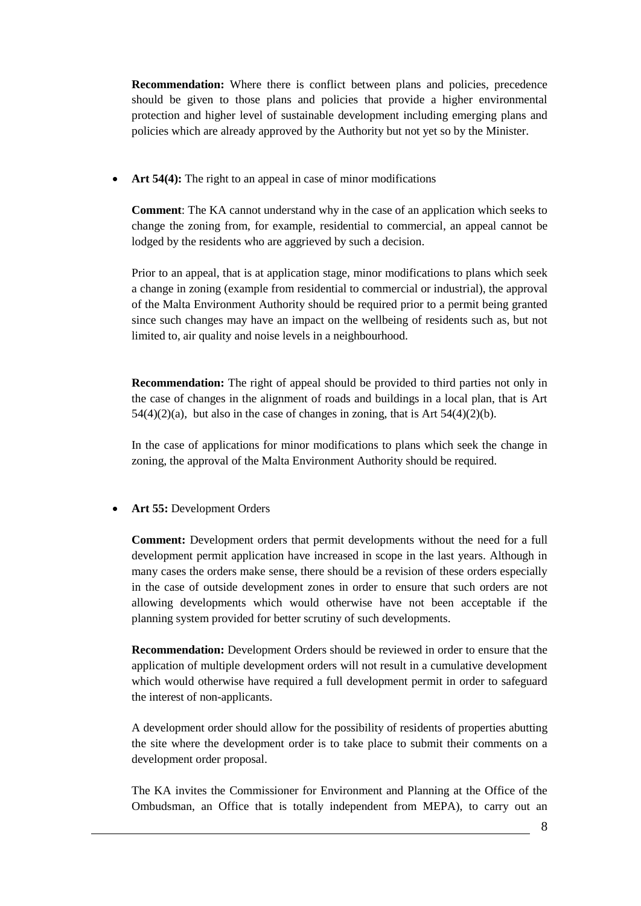**Recommendation:** Where there is conflict between plans and policies, precedence should be given to those plans and policies that provide a higher environmental protection and higher level of sustainable development including emerging plans and policies which are already approved by the Authority but not yet so by the Minister.

Art 54(4): The right to an appeal in case of minor modifications

**Comment**: The KA cannot understand why in the case of an application which seeks to change the zoning from, for example, residential to commercial, an appeal cannot be lodged by the residents who are aggrieved by such a decision.

Prior to an appeal, that is at application stage, minor modifications to plans which seek a change in zoning (example from residential to commercial or industrial), the approval of the Malta Environment Authority should be required prior to a permit being granted since such changes may have an impact on the wellbeing of residents such as, but not limited to, air quality and noise levels in a neighbourhood.

**Recommendation:** The right of appeal should be provided to third parties not only in the case of changes in the alignment of roads and buildings in a local plan, that is Art  $54(4)(2)(a)$ , but also in the case of changes in zoning, that is Art  $54(4)(2)(b)$ .

In the case of applications for minor modifications to plans which seek the change in zoning, the approval of the Malta Environment Authority should be required.

## **Art 55:** Development Orders

**Comment:** Development orders that permit developments without the need for a full development permit application have increased in scope in the last years. Although in many cases the orders make sense, there should be a revision of these orders especially in the case of outside development zones in order to ensure that such orders are not allowing developments which would otherwise have not been acceptable if the planning system provided for better scrutiny of such developments.

**Recommendation:** Development Orders should be reviewed in order to ensure that the application of multiple development orders will not result in a cumulative development which would otherwise have required a full development permit in order to safeguard the interest of non-applicants.

A development order should allow for the possibility of residents of properties abutting the site where the development order is to take place to submit their comments on a development order proposal.

The KA invites the Commissioner for Environment and Planning at the Office of the Ombudsman, an Office that is totally independent from MEPA), to carry out an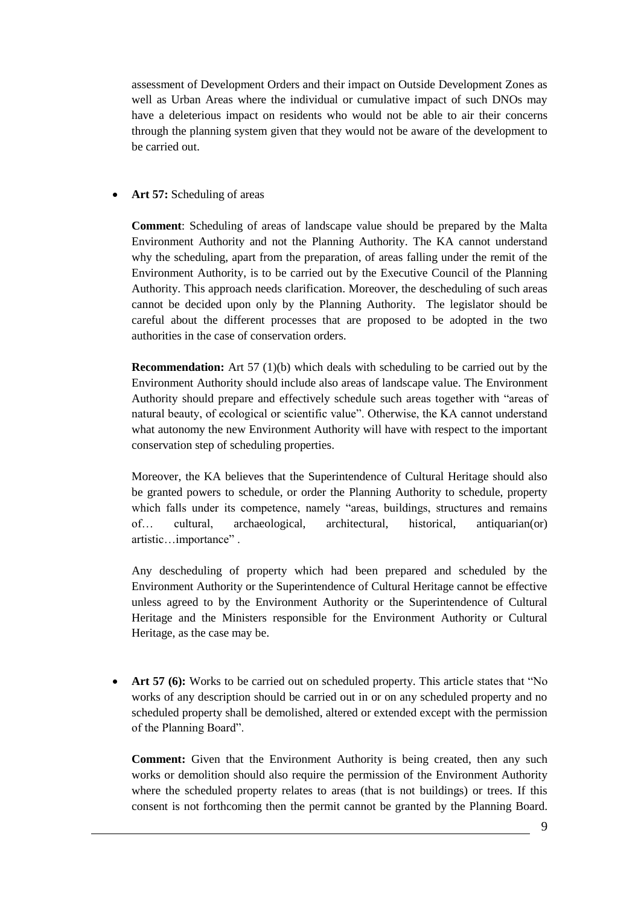assessment of Development Orders and their impact on Outside Development Zones as well as Urban Areas where the individual or cumulative impact of such DNOs may have a deleterious impact on residents who would not be able to air their concerns through the planning system given that they would not be aware of the development to be carried out.

#### **Art 57:** Scheduling of areas

**Comment**: Scheduling of areas of landscape value should be prepared by the Malta Environment Authority and not the Planning Authority. The KA cannot understand why the scheduling, apart from the preparation, of areas falling under the remit of the Environment Authority, is to be carried out by the Executive Council of the Planning Authority. This approach needs clarification. Moreover, the descheduling of such areas cannot be decided upon only by the Planning Authority. The legislator should be careful about the different processes that are proposed to be adopted in the two authorities in the case of conservation orders.

**Recommendation:** Art 57 (1)(b) which deals with scheduling to be carried out by the Environment Authority should include also areas of landscape value. The Environment Authority should prepare and effectively schedule such areas together with "areas of natural beauty, of ecological or scientific value". Otherwise, the KA cannot understand what autonomy the new Environment Authority will have with respect to the important conservation step of scheduling properties.

Moreover, the KA believes that the Superintendence of Cultural Heritage should also be granted powers to schedule, or order the Planning Authority to schedule, property which falls under its competence, namely "areas, buildings, structures and remains of… cultural, archaeological, architectural, historical, antiquarian(or) artistic…importance" .

Any descheduling of property which had been prepared and scheduled by the Environment Authority or the Superintendence of Cultural Heritage cannot be effective unless agreed to by the Environment Authority or the Superintendence of Cultural Heritage and the Ministers responsible for the Environment Authority or Cultural Heritage, as the case may be.

• Art 57 (6): Works to be carried out on scheduled property. This article states that "No works of any description should be carried out in or on any scheduled property and no scheduled property shall be demolished, altered or extended except with the permission of the Planning Board".

**Comment:** Given that the Environment Authority is being created, then any such works or demolition should also require the permission of the Environment Authority where the scheduled property relates to areas (that is not buildings) or trees. If this consent is not forthcoming then the permit cannot be granted by the Planning Board.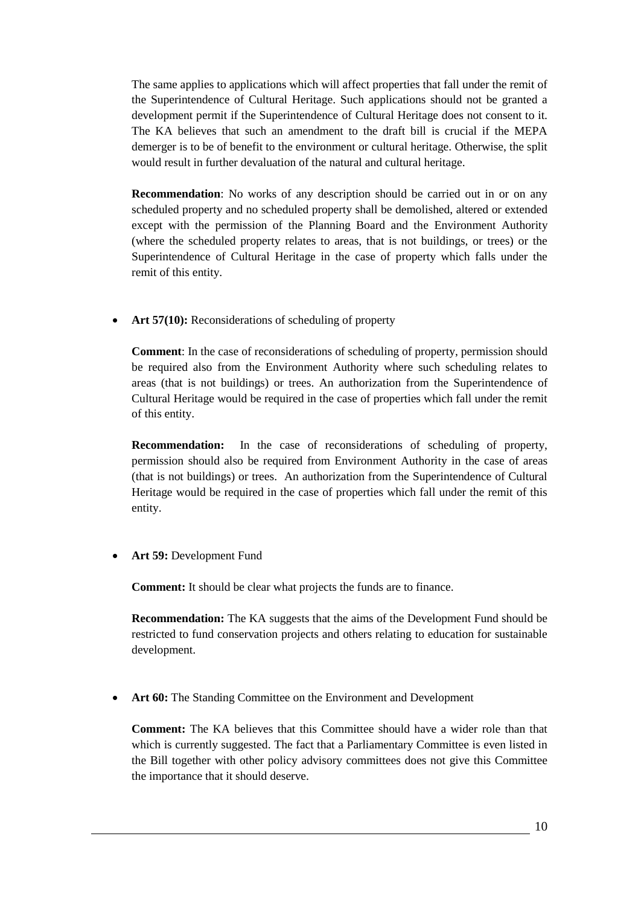The same applies to applications which will affect properties that fall under the remit of the Superintendence of Cultural Heritage. Such applications should not be granted a development permit if the Superintendence of Cultural Heritage does not consent to it. The KA believes that such an amendment to the draft bill is crucial if the MEPA demerger is to be of benefit to the environment or cultural heritage. Otherwise, the split would result in further devaluation of the natural and cultural heritage.

**Recommendation**: No works of any description should be carried out in or on any scheduled property and no scheduled property shall be demolished, altered or extended except with the permission of the Planning Board and the Environment Authority (where the scheduled property relates to areas, that is not buildings, or trees) or the Superintendence of Cultural Heritage in the case of property which falls under the remit of this entity.

Art 57(10): Reconsiderations of scheduling of property

**Comment**: In the case of reconsiderations of scheduling of property, permission should be required also from the Environment Authority where such scheduling relates to areas (that is not buildings) or trees. An authorization from the Superintendence of Cultural Heritage would be required in the case of properties which fall under the remit of this entity.

**Recommendation:** In the case of reconsiderations of scheduling of property, permission should also be required from Environment Authority in the case of areas (that is not buildings) or trees. An authorization from the Superintendence of Cultural Heritage would be required in the case of properties which fall under the remit of this entity.

**Art 59:** Development Fund

**Comment:** It should be clear what projects the funds are to finance.

**Recommendation:** The KA suggests that the aims of the Development Fund should be restricted to fund conservation projects and others relating to education for sustainable development.

• Art 60: The Standing Committee on the Environment and Development

**Comment:** The KA believes that this Committee should have a wider role than that which is currently suggested. The fact that a Parliamentary Committee is even listed in the Bill together with other policy advisory committees does not give this Committee the importance that it should deserve.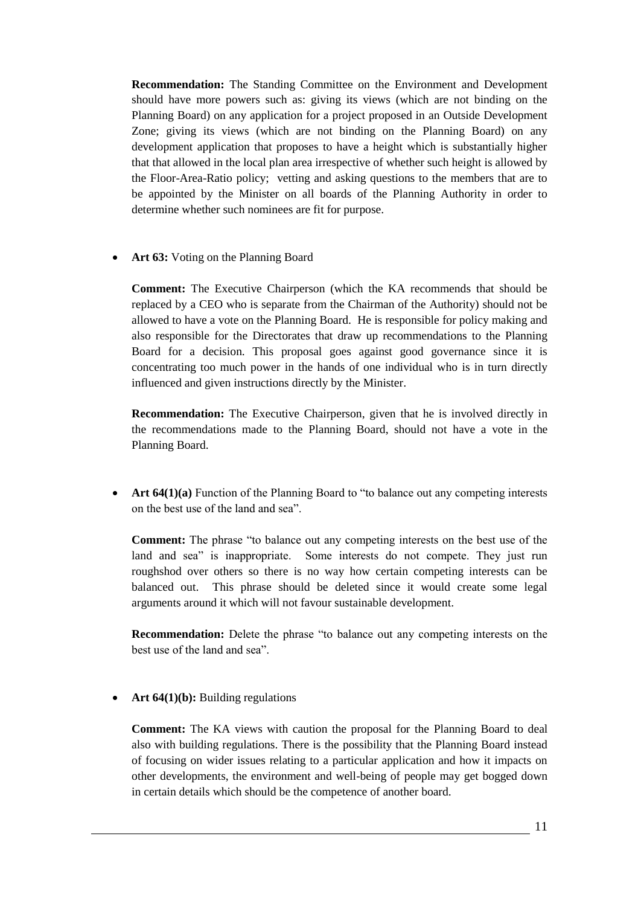**Recommendation:** The Standing Committee on the Environment and Development should have more powers such as: giving its views (which are not binding on the Planning Board) on any application for a project proposed in an Outside Development Zone; giving its views (which are not binding on the Planning Board) on any development application that proposes to have a height which is substantially higher that that allowed in the local plan area irrespective of whether such height is allowed by the Floor-Area-Ratio policy; vetting and asking questions to the members that are to be appointed by the Minister on all boards of the Planning Authority in order to determine whether such nominees are fit for purpose.

**Art 63:** Voting on the Planning Board

**Comment:** The Executive Chairperson (which the KA recommends that should be replaced by a CEO who is separate from the Chairman of the Authority) should not be allowed to have a vote on the Planning Board. He is responsible for policy making and also responsible for the Directorates that draw up recommendations to the Planning Board for a decision. This proposal goes against good governance since it is concentrating too much power in the hands of one individual who is in turn directly influenced and given instructions directly by the Minister.

**Recommendation:** The Executive Chairperson, given that he is involved directly in the recommendations made to the Planning Board, should not have a vote in the Planning Board.

 **Art 64(1)(a)** Function of the Planning Board to "to balance out any competing interests on the best use of the land and sea".

**Comment:** The phrase "to balance out any competing interests on the best use of the land and sea" is inappropriate. Some interests do not compete. They just run roughshod over others so there is no way how certain competing interests can be balanced out. This phrase should be deleted since it would create some legal arguments around it which will not favour sustainable development.

**Recommendation:** Delete the phrase "to balance out any competing interests on the best use of the land and sea".

• **Art 64(1)(b):** Building regulations

**Comment:** The KA views with caution the proposal for the Planning Board to deal also with building regulations. There is the possibility that the Planning Board instead of focusing on wider issues relating to a particular application and how it impacts on other developments, the environment and well-being of people may get bogged down in certain details which should be the competence of another board.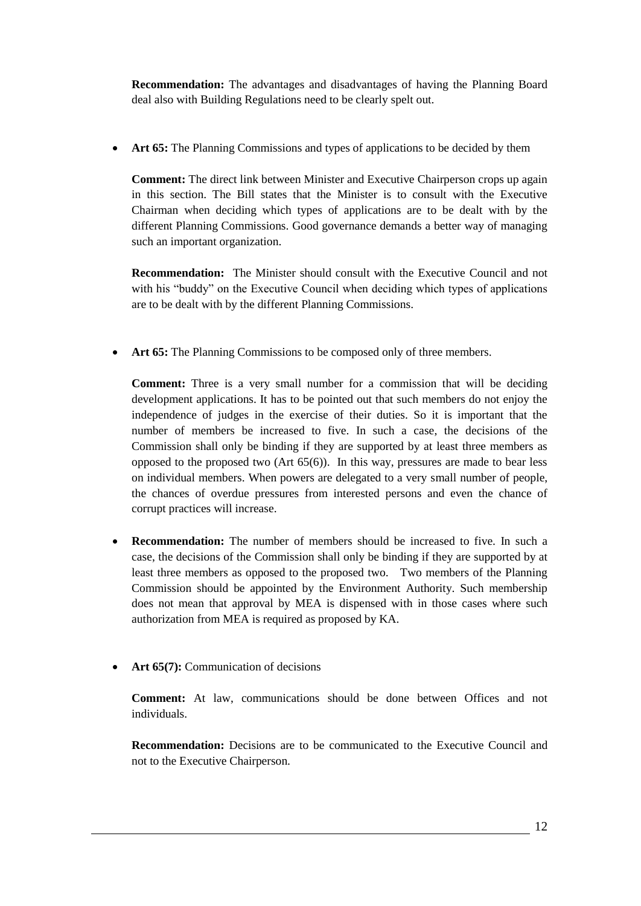**Recommendation:** The advantages and disadvantages of having the Planning Board deal also with Building Regulations need to be clearly spelt out.

**Art 65:** The Planning Commissions and types of applications to be decided by them

**Comment:** The direct link between Minister and Executive Chairperson crops up again in this section. The Bill states that the Minister is to consult with the Executive Chairman when deciding which types of applications are to be dealt with by the different Planning Commissions. Good governance demands a better way of managing such an important organization.

**Recommendation:** The Minister should consult with the Executive Council and not with his "buddy" on the Executive Council when deciding which types of applications are to be dealt with by the different Planning Commissions.

• Art 65: The Planning Commissions to be composed only of three members.

**Comment:** Three is a very small number for a commission that will be deciding development applications. It has to be pointed out that such members do not enjoy the independence of judges in the exercise of their duties. So it is important that the number of members be increased to five. In such a case, the decisions of the Commission shall only be binding if they are supported by at least three members as opposed to the proposed two  $(Art 65(6))$ . In this way, pressures are made to bear less on individual members. When powers are delegated to a very small number of people, the chances of overdue pressures from interested persons and even the chance of corrupt practices will increase.

- **Recommendation:** The number of members should be increased to five. In such a case, the decisions of the Commission shall only be binding if they are supported by at least three members as opposed to the proposed two. Two members of the Planning Commission should be appointed by the Environment Authority. Such membership does not mean that approval by MEA is dispensed with in those cases where such authorization from MEA is required as proposed by KA.
- **Art 65(7):** Communication of decisions

**Comment:** At law, communications should be done between Offices and not individuals.

**Recommendation:** Decisions are to be communicated to the Executive Council and not to the Executive Chairperson.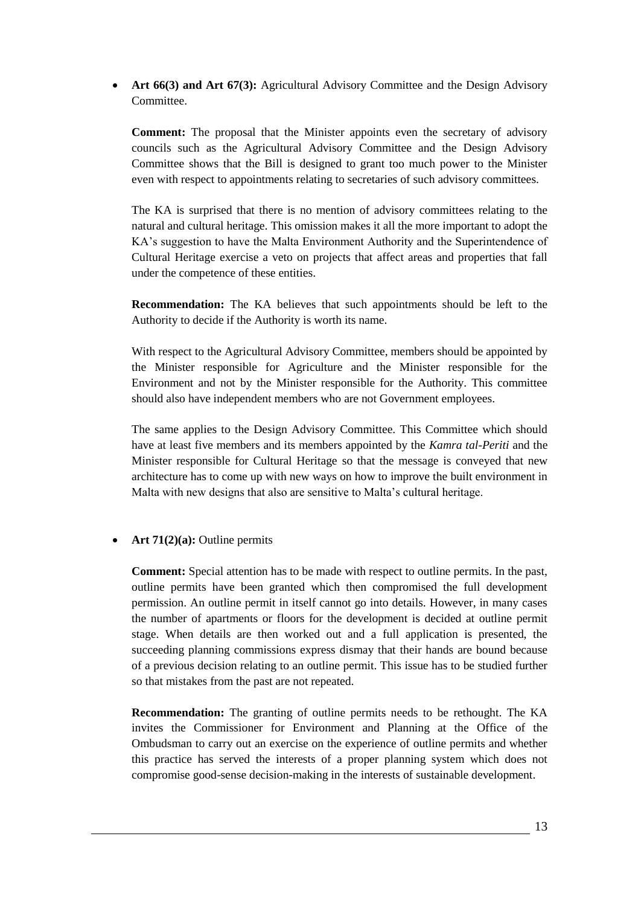• Art 66(3) and Art 67(3): Agricultural Advisory Committee and the Design Advisory **Committee** 

**Comment:** The proposal that the Minister appoints even the secretary of advisory councils such as the Agricultural Advisory Committee and the Design Advisory Committee shows that the Bill is designed to grant too much power to the Minister even with respect to appointments relating to secretaries of such advisory committees.

The KA is surprised that there is no mention of advisory committees relating to the natural and cultural heritage. This omission makes it all the more important to adopt the KA's suggestion to have the Malta Environment Authority and the Superintendence of Cultural Heritage exercise a veto on projects that affect areas and properties that fall under the competence of these entities.

**Recommendation:** The KA believes that such appointments should be left to the Authority to decide if the Authority is worth its name.

With respect to the Agricultural Advisory Committee, members should be appointed by the Minister responsible for Agriculture and the Minister responsible for the Environment and not by the Minister responsible for the Authority. This committee should also have independent members who are not Government employees.

The same applies to the Design Advisory Committee. This Committee which should have at least five members and its members appointed by the *Kamra tal-Periti* and the Minister responsible for Cultural Heritage so that the message is conveyed that new architecture has to come up with new ways on how to improve the built environment in Malta with new designs that also are sensitive to Malta's cultural heritage.

## **Art 71(2)(a):** Outline permits

**Comment:** Special attention has to be made with respect to outline permits. In the past, outline permits have been granted which then compromised the full development permission. An outline permit in itself cannot go into details. However, in many cases the number of apartments or floors for the development is decided at outline permit stage. When details are then worked out and a full application is presented, the succeeding planning commissions express dismay that their hands are bound because of a previous decision relating to an outline permit. This issue has to be studied further so that mistakes from the past are not repeated.

**Recommendation:** The granting of outline permits needs to be rethought. The KA invites the Commissioner for Environment and Planning at the Office of the Ombudsman to carry out an exercise on the experience of outline permits and whether this practice has served the interests of a proper planning system which does not compromise good-sense decision-making in the interests of sustainable development.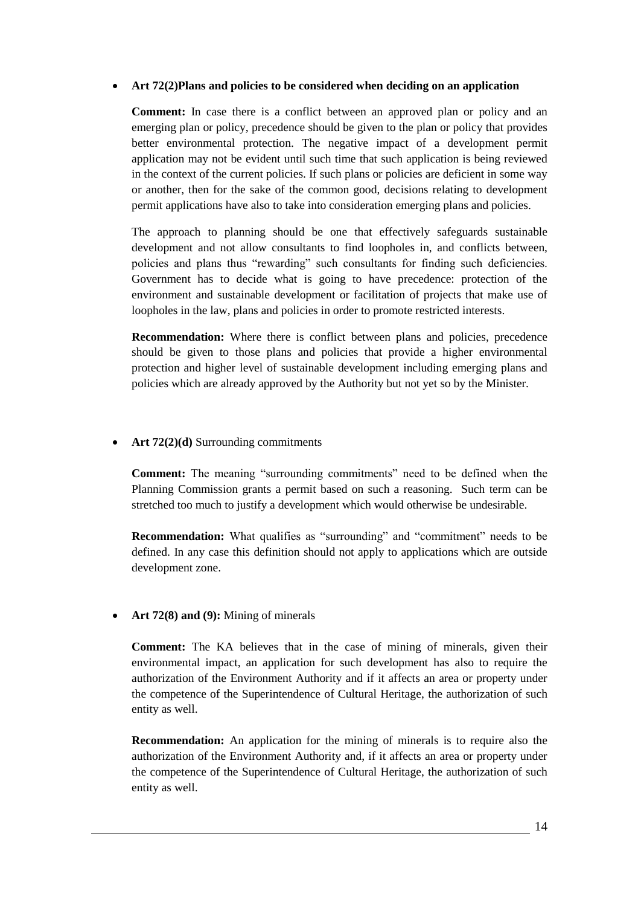#### **Art 72(2)Plans and policies to be considered when deciding on an application**

**Comment:** In case there is a conflict between an approved plan or policy and an emerging plan or policy, precedence should be given to the plan or policy that provides better environmental protection. The negative impact of a development permit application may not be evident until such time that such application is being reviewed in the context of the current policies. If such plans or policies are deficient in some way or another, then for the sake of the common good, decisions relating to development permit applications have also to take into consideration emerging plans and policies.

The approach to planning should be one that effectively safeguards sustainable development and not allow consultants to find loopholes in, and conflicts between, policies and plans thus "rewarding" such consultants for finding such deficiencies. Government has to decide what is going to have precedence: protection of the environment and sustainable development or facilitation of projects that make use of loopholes in the law, plans and policies in order to promote restricted interests.

**Recommendation:** Where there is conflict between plans and policies, precedence should be given to those plans and policies that provide a higher environmental protection and higher level of sustainable development including emerging plans and policies which are already approved by the Authority but not yet so by the Minister.

#### **Art 72(2)(d)** Surrounding commitments

**Comment:** The meaning "surrounding commitments" need to be defined when the Planning Commission grants a permit based on such a reasoning. Such term can be stretched too much to justify a development which would otherwise be undesirable.

**Recommendation:** What qualifies as "surrounding" and "commitment" needs to be defined. In any case this definition should not apply to applications which are outside development zone.

## **Art 72(8) and (9):** Mining of minerals

**Comment:** The KA believes that in the case of mining of minerals, given their environmental impact, an application for such development has also to require the authorization of the Environment Authority and if it affects an area or property under the competence of the Superintendence of Cultural Heritage, the authorization of such entity as well.

**Recommendation:** An application for the mining of minerals is to require also the authorization of the Environment Authority and, if it affects an area or property under the competence of the Superintendence of Cultural Heritage, the authorization of such entity as well.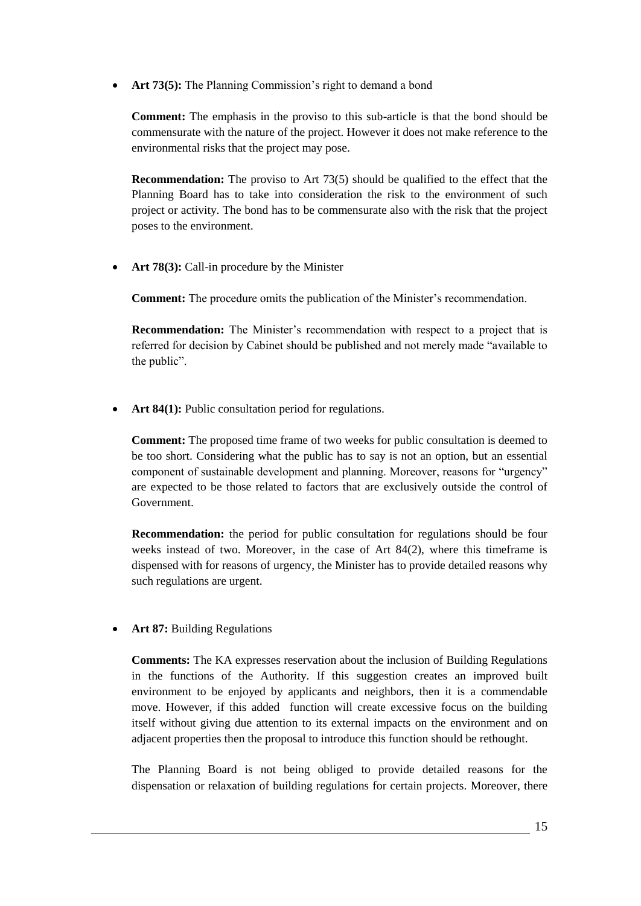• **Art 73(5):** The Planning Commission's right to demand a bond

**Comment:** The emphasis in the proviso to this sub-article is that the bond should be commensurate with the nature of the project. However it does not make reference to the environmental risks that the project may pose.

**Recommendation:** The proviso to Art 73(5) should be qualified to the effect that the Planning Board has to take into consideration the risk to the environment of such project or activity. The bond has to be commensurate also with the risk that the project poses to the environment.

Art 78(3): Call-in procedure by the Minister

**Comment:** The procedure omits the publication of the Minister's recommendation.

**Recommendation:** The Minister's recommendation with respect to a project that is referred for decision by Cabinet should be published and not merely made "available to the public".

Art 84(1): Public consultation period for regulations.

**Comment:** The proposed time frame of two weeks for public consultation is deemed to be too short. Considering what the public has to say is not an option, but an essential component of sustainable development and planning. Moreover, reasons for "urgency" are expected to be those related to factors that are exclusively outside the control of Government.

**Recommendation:** the period for public consultation for regulations should be four weeks instead of two. Moreover, in the case of Art 84(2), where this timeframe is dispensed with for reasons of urgency, the Minister has to provide detailed reasons why such regulations are urgent.

**Art 87:** Building Regulations

**Comments:** The KA expresses reservation about the inclusion of Building Regulations in the functions of the Authority. If this suggestion creates an improved built environment to be enjoyed by applicants and neighbors, then it is a commendable move. However, if this added function will create excessive focus on the building itself without giving due attention to its external impacts on the environment and on adjacent properties then the proposal to introduce this function should be rethought.

The Planning Board is not being obliged to provide detailed reasons for the dispensation or relaxation of building regulations for certain projects. Moreover, there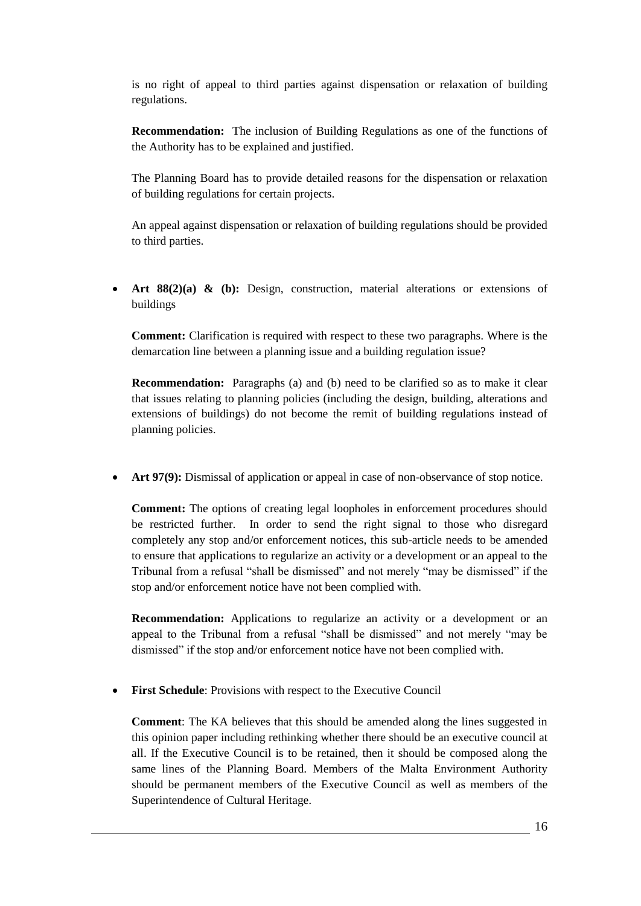is no right of appeal to third parties against dispensation or relaxation of building regulations.

**Recommendation:** The inclusion of Building Regulations as one of the functions of the Authority has to be explained and justified.

The Planning Board has to provide detailed reasons for the dispensation or relaxation of building regulations for certain projects.

An appeal against dispensation or relaxation of building regulations should be provided to third parties.

• Art 88(2)(a) & (b): Design, construction, material alterations or extensions of buildings

**Comment:** Clarification is required with respect to these two paragraphs. Where is the demarcation line between a planning issue and a building regulation issue?

**Recommendation:** Paragraphs (a) and (b) need to be clarified so as to make it clear that issues relating to planning policies (including the design, building, alterations and extensions of buildings) do not become the remit of building regulations instead of planning policies.

**Art 97(9):** Dismissal of application or appeal in case of non-observance of stop notice.

**Comment:** The options of creating legal loopholes in enforcement procedures should be restricted further. In order to send the right signal to those who disregard completely any stop and/or enforcement notices, this sub-article needs to be amended to ensure that applications to regularize an activity or a development or an appeal to the Tribunal from a refusal "shall be dismissed" and not merely "may be dismissed" if the stop and/or enforcement notice have not been complied with.

**Recommendation:** Applications to regularize an activity or a development or an appeal to the Tribunal from a refusal "shall be dismissed" and not merely "may be dismissed" if the stop and/or enforcement notice have not been complied with.

**First Schedule**: Provisions with respect to the Executive Council

**Comment**: The KA believes that this should be amended along the lines suggested in this opinion paper including rethinking whether there should be an executive council at all. If the Executive Council is to be retained, then it should be composed along the same lines of the Planning Board. Members of the Malta Environment Authority should be permanent members of the Executive Council as well as members of the Superintendence of Cultural Heritage.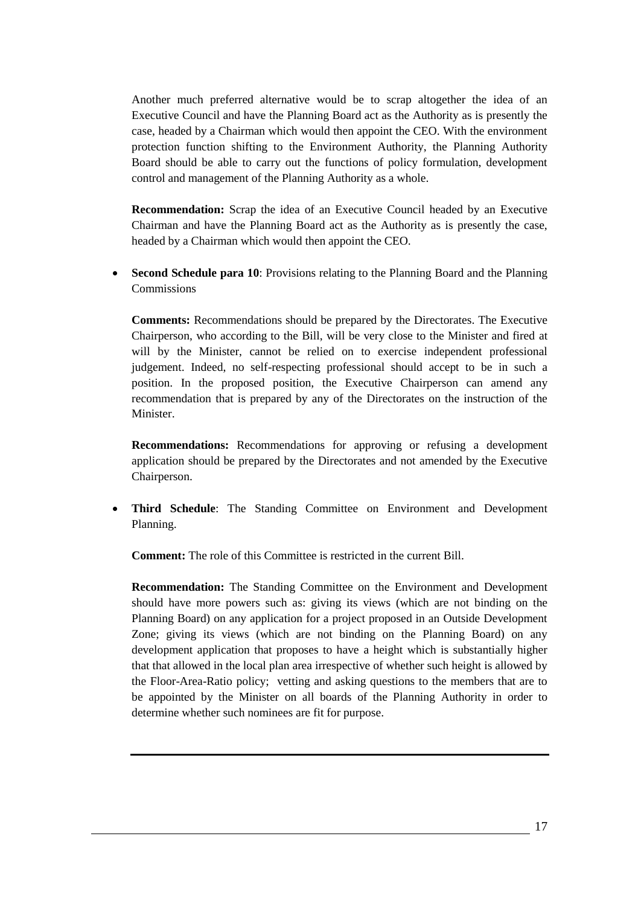Another much preferred alternative would be to scrap altogether the idea of an Executive Council and have the Planning Board act as the Authority as is presently the case, headed by a Chairman which would then appoint the CEO. With the environment protection function shifting to the Environment Authority, the Planning Authority Board should be able to carry out the functions of policy formulation, development control and management of the Planning Authority as a whole.

**Recommendation:** Scrap the idea of an Executive Council headed by an Executive Chairman and have the Planning Board act as the Authority as is presently the case, headed by a Chairman which would then appoint the CEO.

 **Second Schedule para 10**: Provisions relating to the Planning Board and the Planning Commissions

**Comments:** Recommendations should be prepared by the Directorates. The Executive Chairperson, who according to the Bill, will be very close to the Minister and fired at will by the Minister, cannot be relied on to exercise independent professional judgement. Indeed, no self-respecting professional should accept to be in such a position. In the proposed position, the Executive Chairperson can amend any recommendation that is prepared by any of the Directorates on the instruction of the Minister.

**Recommendations:** Recommendations for approving or refusing a development application should be prepared by the Directorates and not amended by the Executive Chairperson.

 **Third Schedule**: The Standing Committee on Environment and Development Planning.

**Comment:** The role of this Committee is restricted in the current Bill.

**Recommendation:** The Standing Committee on the Environment and Development should have more powers such as: giving its views (which are not binding on the Planning Board) on any application for a project proposed in an Outside Development Zone; giving its views (which are not binding on the Planning Board) on any development application that proposes to have a height which is substantially higher that that allowed in the local plan area irrespective of whether such height is allowed by the Floor-Area-Ratio policy; vetting and asking questions to the members that are to be appointed by the Minister on all boards of the Planning Authority in order to determine whether such nominees are fit for purpose.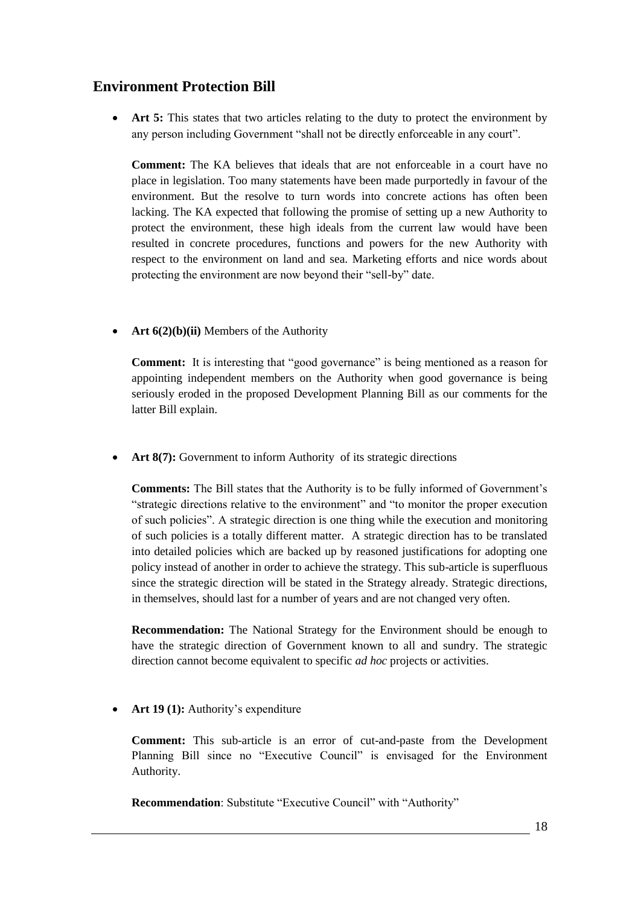# **Environment Protection Bill**

• Art 5: This states that two articles relating to the duty to protect the environment by any person including Government "shall not be directly enforceable in any court".

**Comment:** The KA believes that ideals that are not enforceable in a court have no place in legislation. Too many statements have been made purportedly in favour of the environment. But the resolve to turn words into concrete actions has often been lacking. The KA expected that following the promise of setting up a new Authority to protect the environment, these high ideals from the current law would have been resulted in concrete procedures, functions and powers for the new Authority with respect to the environment on land and sea. Marketing efforts and nice words about protecting the environment are now beyond their "sell-by" date.

• **Art 6(2)(b)(ii)** Members of the Authority

**Comment:** It is interesting that "good governance" is being mentioned as a reason for appointing independent members on the Authority when good governance is being seriously eroded in the proposed Development Planning Bill as our comments for the latter Bill explain.

Art 8(7): Government to inform Authority of its strategic directions

**Comments:** The Bill states that the Authority is to be fully informed of Government's "strategic directions relative to the environment" and "to monitor the proper execution of such policies". A strategic direction is one thing while the execution and monitoring of such policies is a totally different matter. A strategic direction has to be translated into detailed policies which are backed up by reasoned justifications for adopting one policy instead of another in order to achieve the strategy. This sub-article is superfluous since the strategic direction will be stated in the Strategy already. Strategic directions, in themselves, should last for a number of years and are not changed very often.

**Recommendation:** The National Strategy for the Environment should be enough to have the strategic direction of Government known to all and sundry. The strategic direction cannot become equivalent to specific *ad hoc* projects or activities.

## Art 19 (1): Authority's expenditure

**Comment:** This sub-article is an error of cut-and-paste from the Development Planning Bill since no "Executive Council" is envisaged for the Environment Authority.

**Recommendation**: Substitute "Executive Council" with "Authority"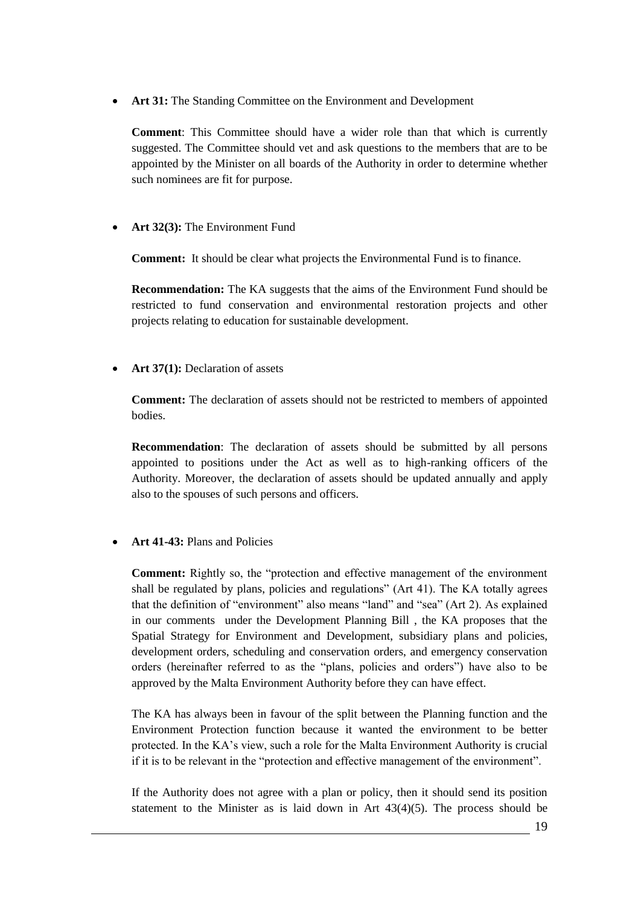• **Art 31:** The Standing Committee on the Environment and Development

**Comment**: This Committee should have a wider role than that which is currently suggested. The Committee should vet and ask questions to the members that are to be appointed by the Minister on all boards of the Authority in order to determine whether such nominees are fit for purpose.

Art 32(3): The Environment Fund

**Comment:** It should be clear what projects the Environmental Fund is to finance.

**Recommendation:** The KA suggests that the aims of the Environment Fund should be restricted to fund conservation and environmental restoration projects and other projects relating to education for sustainable development.

• **Art 37(1):** Declaration of assets

**Comment:** The declaration of assets should not be restricted to members of appointed bodies.

**Recommendation**: The declaration of assets should be submitted by all persons appointed to positions under the Act as well as to high-ranking officers of the Authority. Moreover, the declaration of assets should be updated annually and apply also to the spouses of such persons and officers.

## Art 41-43: Plans and Policies

**Comment:** Rightly so, the "protection and effective management of the environment shall be regulated by plans, policies and regulations" (Art 41). The KA totally agrees that the definition of "environment" also means "land" and "sea" (Art 2). As explained in our comments under the Development Planning Bill , the KA proposes that the Spatial Strategy for Environment and Development, subsidiary plans and policies, development orders, scheduling and conservation orders, and emergency conservation orders (hereinafter referred to as the "plans, policies and orders") have also to be approved by the Malta Environment Authority before they can have effect.

The KA has always been in favour of the split between the Planning function and the Environment Protection function because it wanted the environment to be better protected. In the KA's view, such a role for the Malta Environment Authority is crucial if it is to be relevant in the "protection and effective management of the environment".

If the Authority does not agree with a plan or policy, then it should send its position statement to the Minister as is laid down in Art  $43(4)(5)$ . The process should be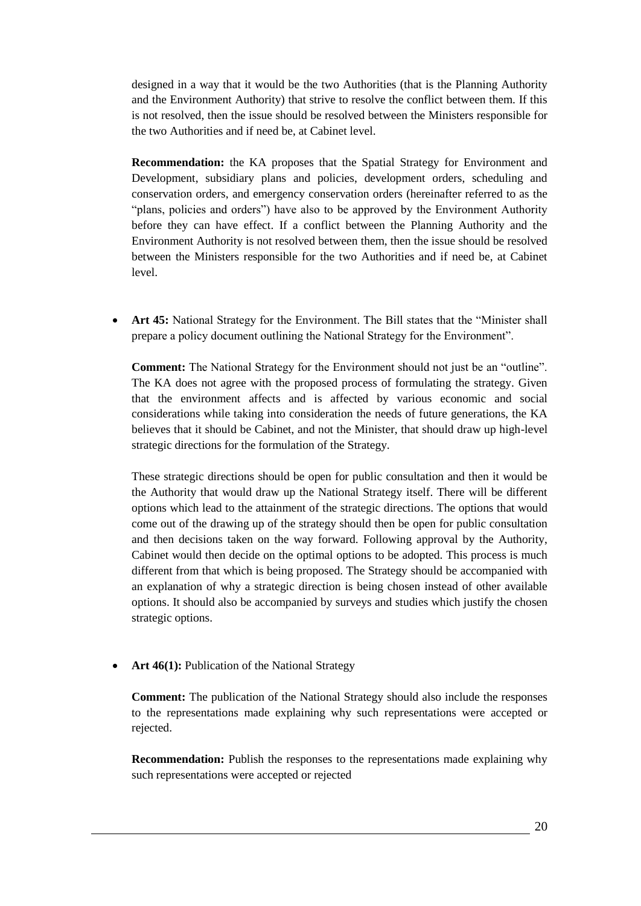designed in a way that it would be the two Authorities (that is the Planning Authority and the Environment Authority) that strive to resolve the conflict between them. If this is not resolved, then the issue should be resolved between the Ministers responsible for the two Authorities and if need be, at Cabinet level.

**Recommendation:** the KA proposes that the Spatial Strategy for Environment and Development, subsidiary plans and policies, development orders, scheduling and conservation orders, and emergency conservation orders (hereinafter referred to as the "plans, policies and orders") have also to be approved by the Environment Authority before they can have effect. If a conflict between the Planning Authority and the Environment Authority is not resolved between them, then the issue should be resolved between the Ministers responsible for the two Authorities and if need be, at Cabinet level.

 **Art 45:** National Strategy for the Environment. The Bill states that the "Minister shall prepare a policy document outlining the National Strategy for the Environment".

**Comment:** The National Strategy for the Environment should not just be an "outline". The KA does not agree with the proposed process of formulating the strategy. Given that the environment affects and is affected by various economic and social considerations while taking into consideration the needs of future generations, the KA believes that it should be Cabinet, and not the Minister, that should draw up high-level strategic directions for the formulation of the Strategy.

These strategic directions should be open for public consultation and then it would be the Authority that would draw up the National Strategy itself. There will be different options which lead to the attainment of the strategic directions. The options that would come out of the drawing up of the strategy should then be open for public consultation and then decisions taken on the way forward. Following approval by the Authority, Cabinet would then decide on the optimal options to be adopted. This process is much different from that which is being proposed. The Strategy should be accompanied with an explanation of why a strategic direction is being chosen instead of other available options. It should also be accompanied by surveys and studies which justify the chosen strategic options.

Art 46(1): Publication of the National Strategy

**Comment:** The publication of the National Strategy should also include the responses to the representations made explaining why such representations were accepted or rejected.

**Recommendation:** Publish the responses to the representations made explaining why such representations were accepted or rejected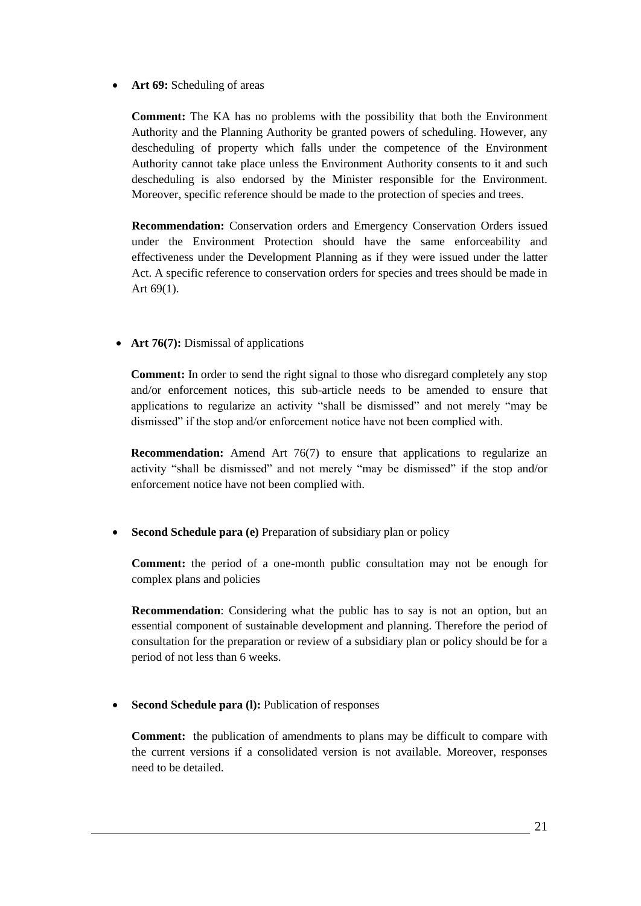• **Art 69:** Scheduling of areas

**Comment:** The KA has no problems with the possibility that both the Environment Authority and the Planning Authority be granted powers of scheduling. However, any descheduling of property which falls under the competence of the Environment Authority cannot take place unless the Environment Authority consents to it and such descheduling is also endorsed by the Minister responsible for the Environment. Moreover, specific reference should be made to the protection of species and trees.

**Recommendation:** Conservation orders and Emergency Conservation Orders issued under the Environment Protection should have the same enforceability and effectiveness under the Development Planning as if they were issued under the latter Act. A specific reference to conservation orders for species and trees should be made in Art 69(1).

• **Art 76(7):** Dismissal of applications

**Comment:** In order to send the right signal to those who disregard completely any stop and/or enforcement notices, this sub-article needs to be amended to ensure that applications to regularize an activity "shall be dismissed" and not merely "may be dismissed" if the stop and/or enforcement notice have not been complied with.

**Recommendation:** Amend Art 76(7) to ensure that applications to regularize an activity "shall be dismissed" and not merely "may be dismissed" if the stop and/or enforcement notice have not been complied with.

**Second Schedule para (e)** Preparation of subsidiary plan or policy

**Comment:** the period of a one-month public consultation may not be enough for complex plans and policies

**Recommendation**: Considering what the public has to say is not an option, but an essential component of sustainable development and planning. Therefore the period of consultation for the preparation or review of a subsidiary plan or policy should be for a period of not less than 6 weeks.

• Second Schedule para (I): Publication of responses

**Comment:** the publication of amendments to plans may be difficult to compare with the current versions if a consolidated version is not available. Moreover, responses need to be detailed.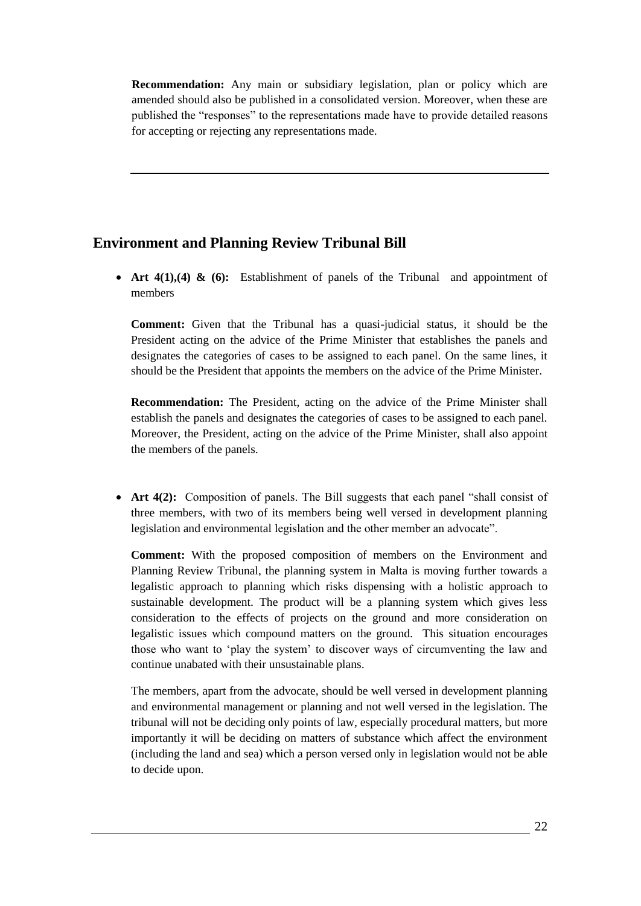**Recommendation:** Any main or subsidiary legislation, plan or policy which are amended should also be published in a consolidated version. Moreover, when these are published the "responses" to the representations made have to provide detailed reasons for accepting or rejecting any representations made.

# **Environment and Planning Review Tribunal Bill**

• Art 4(1),(4) & (6): Establishment of panels of the Tribunal and appointment of members

**Comment:** Given that the Tribunal has a quasi-judicial status, it should be the President acting on the advice of the Prime Minister that establishes the panels and designates the categories of cases to be assigned to each panel. On the same lines, it should be the President that appoints the members on the advice of the Prime Minister.

**Recommendation:** The President, acting on the advice of the Prime Minister shall establish the panels and designates the categories of cases to be assigned to each panel. Moreover, the President, acting on the advice of the Prime Minister, shall also appoint the members of the panels.

• Art 4(2): Composition of panels. The Bill suggests that each panel "shall consist of three members, with two of its members being well versed in development planning legislation and environmental legislation and the other member an advocate".

**Comment:** With the proposed composition of members on the Environment and Planning Review Tribunal, the planning system in Malta is moving further towards a legalistic approach to planning which risks dispensing with a holistic approach to sustainable development. The product will be a planning system which gives less consideration to the effects of projects on the ground and more consideration on legalistic issues which compound matters on the ground. This situation encourages those who want to 'play the system' to discover ways of circumventing the law and continue unabated with their unsustainable plans.

The members, apart from the advocate, should be well versed in development planning and environmental management or planning and not well versed in the legislation. The tribunal will not be deciding only points of law, especially procedural matters, but more importantly it will be deciding on matters of substance which affect the environment (including the land and sea) which a person versed only in legislation would not be able to decide upon.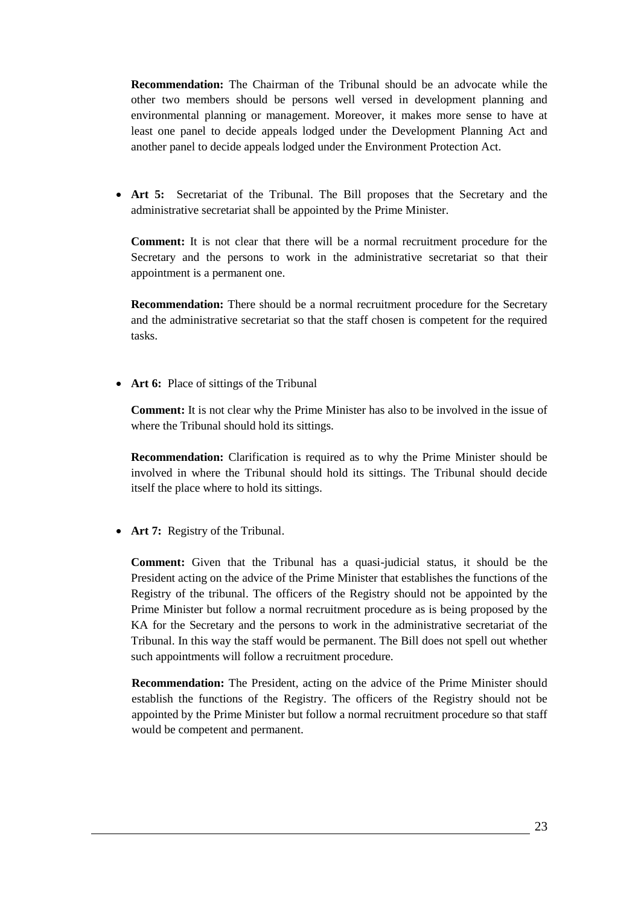**Recommendation:** The Chairman of the Tribunal should be an advocate while the other two members should be persons well versed in development planning and environmental planning or management. Moreover, it makes more sense to have at least one panel to decide appeals lodged under the Development Planning Act and another panel to decide appeals lodged under the Environment Protection Act.

 **Art 5:** Secretariat of the Tribunal. The Bill proposes that the Secretary and the administrative secretariat shall be appointed by the Prime Minister.

**Comment:** It is not clear that there will be a normal recruitment procedure for the Secretary and the persons to work in the administrative secretariat so that their appointment is a permanent one.

**Recommendation:** There should be a normal recruitment procedure for the Secretary and the administrative secretariat so that the staff chosen is competent for the required tasks.

• **Art 6:** Place of sittings of the Tribunal

**Comment:** It is not clear why the Prime Minister has also to be involved in the issue of where the Tribunal should hold its sittings.

**Recommendation:** Clarification is required as to why the Prime Minister should be involved in where the Tribunal should hold its sittings. The Tribunal should decide itself the place where to hold its sittings.

• **Art 7:** Registry of the Tribunal.

**Comment:** Given that the Tribunal has a quasi-judicial status, it should be the President acting on the advice of the Prime Minister that establishes the functions of the Registry of the tribunal. The officers of the Registry should not be appointed by the Prime Minister but follow a normal recruitment procedure as is being proposed by the KA for the Secretary and the persons to work in the administrative secretariat of the Tribunal. In this way the staff would be permanent. The Bill does not spell out whether such appointments will follow a recruitment procedure.

**Recommendation:** The President, acting on the advice of the Prime Minister should establish the functions of the Registry. The officers of the Registry should not be appointed by the Prime Minister but follow a normal recruitment procedure so that staff would be competent and permanent.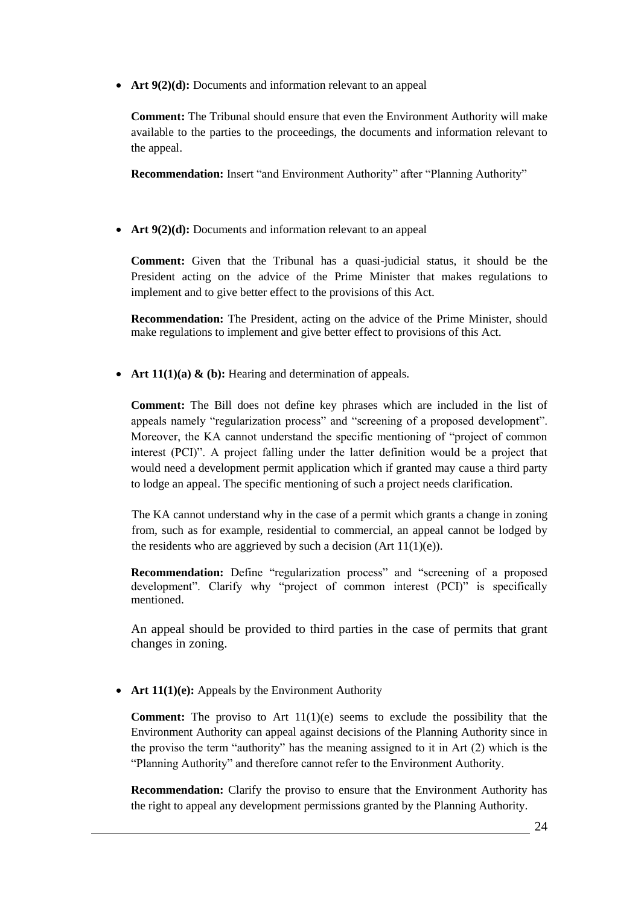• **Art 9(2)(d):** Documents and information relevant to an appeal

**Comment:** The Tribunal should ensure that even the Environment Authority will make available to the parties to the proceedings, the documents and information relevant to the appeal.

**Recommendation:** Insert "and Environment Authority" after "Planning Authority"

• Art  $9(2)(d)$ : Documents and information relevant to an appeal

**Comment:** Given that the Tribunal has a quasi-judicial status, it should be the President acting on the advice of the Prime Minister that makes regulations to implement and to give better effect to the provisions of this Act.

**Recommendation:** The President, acting on the advice of the Prime Minister, should make regulations to implement and give better effect to provisions of this Act.

• **Art 11(1)(a) & (b):** Hearing and determination of appeals.

**Comment:** The Bill does not define key phrases which are included in the list of appeals namely "regularization process" and "screening of a proposed development". Moreover, the KA cannot understand the specific mentioning of "project of common interest (PCI)". A project falling under the latter definition would be a project that would need a development permit application which if granted may cause a third party to lodge an appeal. The specific mentioning of such a project needs clarification.

The KA cannot understand why in the case of a permit which grants a change in zoning from, such as for example, residential to commercial, an appeal cannot be lodged by the residents who are aggrieved by such a decision (Art  $11(1)(e)$ ).

**Recommendation:** Define "regularization process" and "screening of a proposed development". Clarify why "project of common interest (PCI)" is specifically mentioned.

An appeal should be provided to third parties in the case of permits that grant changes in zoning.

• **Art 11(1)(e):** Appeals by the Environment Authority

**Comment:** The proviso to Art  $11(1)(e)$  seems to exclude the possibility that the Environment Authority can appeal against decisions of the Planning Authority since in the proviso the term "authority" has the meaning assigned to it in Art (2) which is the "Planning Authority" and therefore cannot refer to the Environment Authority.

**Recommendation:** Clarify the proviso to ensure that the Environment Authority has the right to appeal any development permissions granted by the Planning Authority.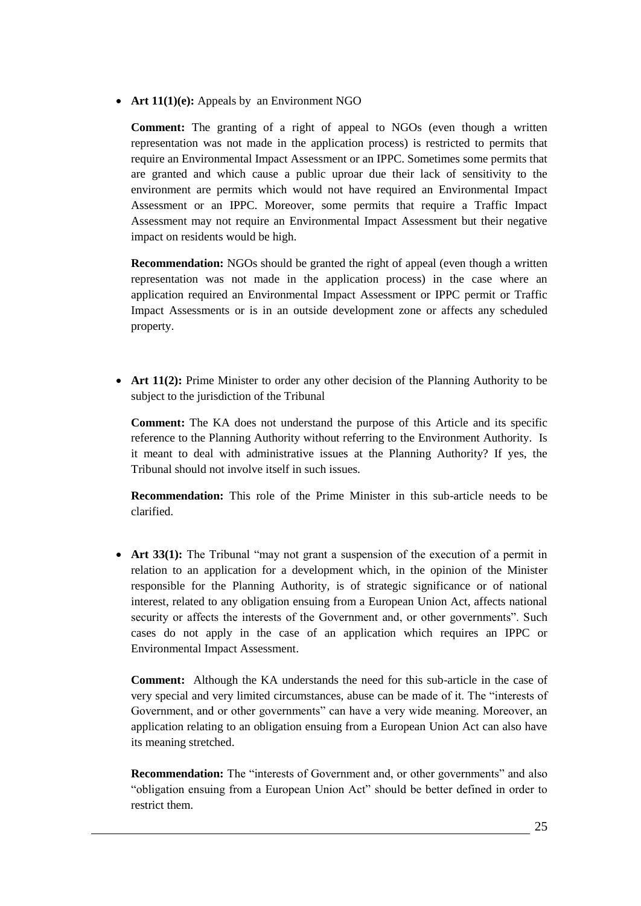• **Art 11(1)(e):** Appeals by an Environment NGO

**Comment:** The granting of a right of appeal to NGOs (even though a written representation was not made in the application process) is restricted to permits that require an Environmental Impact Assessment or an IPPC. Sometimes some permits that are granted and which cause a public uproar due their lack of sensitivity to the environment are permits which would not have required an Environmental Impact Assessment or an IPPC. Moreover, some permits that require a Traffic Impact Assessment may not require an Environmental Impact Assessment but their negative impact on residents would be high.

**Recommendation:** NGOs should be granted the right of appeal (even though a written representation was not made in the application process) in the case where an application required an Environmental Impact Assessment or IPPC permit or Traffic Impact Assessments or is in an outside development zone or affects any scheduled property.

• Art 11(2): Prime Minister to order any other decision of the Planning Authority to be subject to the jurisdiction of the Tribunal

**Comment:** The KA does not understand the purpose of this Article and its specific reference to the Planning Authority without referring to the Environment Authority. Is it meant to deal with administrative issues at the Planning Authority? If yes, the Tribunal should not involve itself in such issues.

**Recommendation:** This role of the Prime Minister in this sub-article needs to be clarified.

 **Art 33(1):** The Tribunal "may not grant a suspension of the execution of a permit in relation to an application for a development which, in the opinion of the Minister responsible for the Planning Authority, is of strategic significance or of national interest, related to any obligation ensuing from a European Union Act, affects national security or affects the interests of the Government and, or other governments". Such cases do not apply in the case of an application which requires an IPPC or Environmental Impact Assessment.

**Comment:** Although the KA understands the need for this sub-article in the case of very special and very limited circumstances, abuse can be made of it. The "interests of Government, and or other governments" can have a very wide meaning. Moreover, an application relating to an obligation ensuing from a European Union Act can also have its meaning stretched.

**Recommendation:** The "interests of Government and, or other governments" and also "obligation ensuing from a European Union Act" should be better defined in order to restrict them.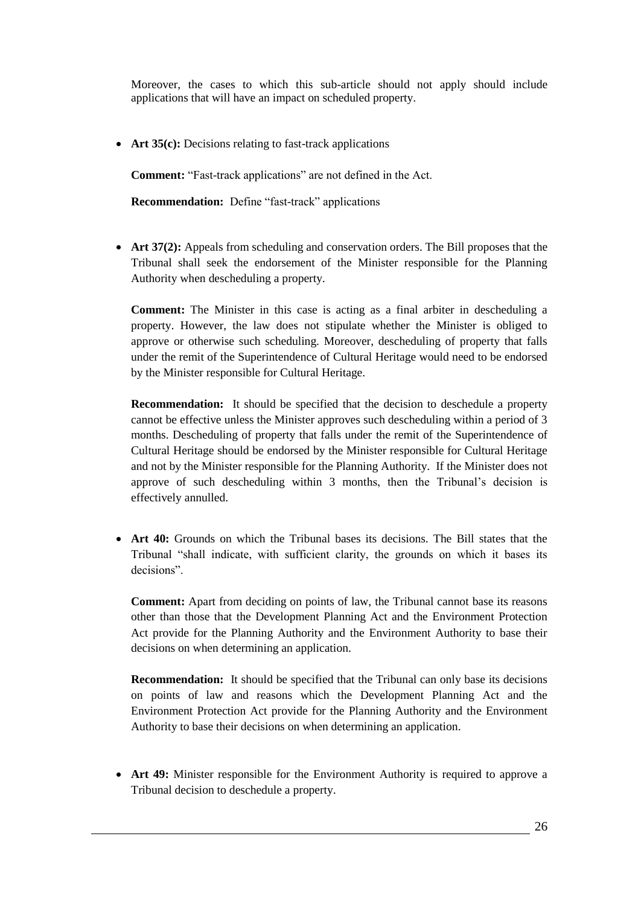Moreover, the cases to which this sub-article should not apply should include applications that will have an impact on scheduled property.

• Art 35(c): Decisions relating to fast-track applications

**Comment:** "Fast-track applications" are not defined in the Act.

**Recommendation:** Define "fast-track" applications

 **Art 37(2):** Appeals from scheduling and conservation orders. The Bill proposes that the Tribunal shall seek the endorsement of the Minister responsible for the Planning Authority when descheduling a property.

**Comment:** The Minister in this case is acting as a final arbiter in descheduling a property. However, the law does not stipulate whether the Minister is obliged to approve or otherwise such scheduling. Moreover, descheduling of property that falls under the remit of the Superintendence of Cultural Heritage would need to be endorsed by the Minister responsible for Cultural Heritage.

**Recommendation:** It should be specified that the decision to deschedule a property cannot be effective unless the Minister approves such descheduling within a period of 3 months. Descheduling of property that falls under the remit of the Superintendence of Cultural Heritage should be endorsed by the Minister responsible for Cultural Heritage and not by the Minister responsible for the Planning Authority. If the Minister does not approve of such descheduling within 3 months, then the Tribunal's decision is effectively annulled.

 **Art 40:** Grounds on which the Tribunal bases its decisions. The Bill states that the Tribunal "shall indicate, with sufficient clarity, the grounds on which it bases its decisions".

**Comment:** Apart from deciding on points of law, the Tribunal cannot base its reasons other than those that the Development Planning Act and the Environment Protection Act provide for the Planning Authority and the Environment Authority to base their decisions on when determining an application.

**Recommendation:** It should be specified that the Tribunal can only base its decisions on points of law and reasons which the Development Planning Act and the Environment Protection Act provide for the Planning Authority and the Environment Authority to base their decisions on when determining an application.

 **Art 49:** Minister responsible for the Environment Authority is required to approve a Tribunal decision to deschedule a property.